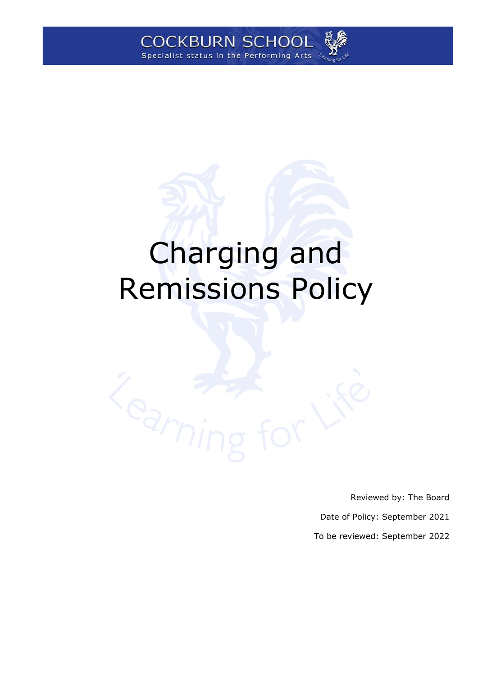

# Charging and Remissions Policy

Reviewed by: The Board Date of Policy: September 2021 To be reviewed: September 2022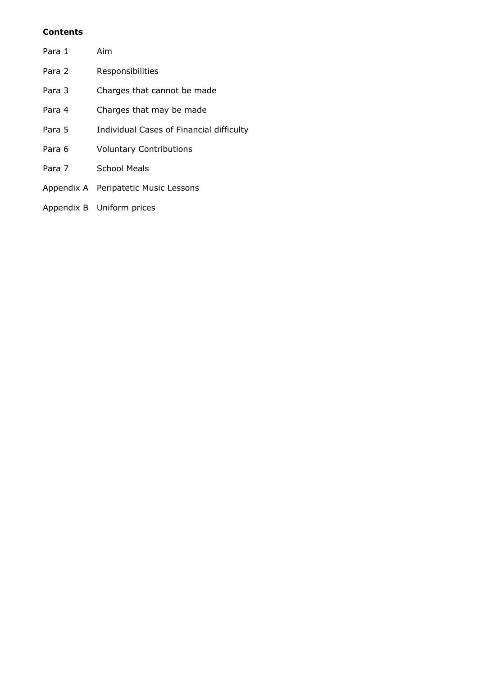## **Contents**

| Para 1 | Aim                                      |
|--------|------------------------------------------|
| Para 2 | Responsibilities                         |
| Para 3 | Charges that cannot be made              |
| Para 4 | Charges that may be made                 |
| Para 5 | Individual Cases of Financial difficulty |
| Para 6 | <b>Voluntary Contributions</b>           |
| Para 7 | School Meals                             |
|        | Appendix A Peripatetic Music Lessons     |
|        | Appendix B Uniform prices                |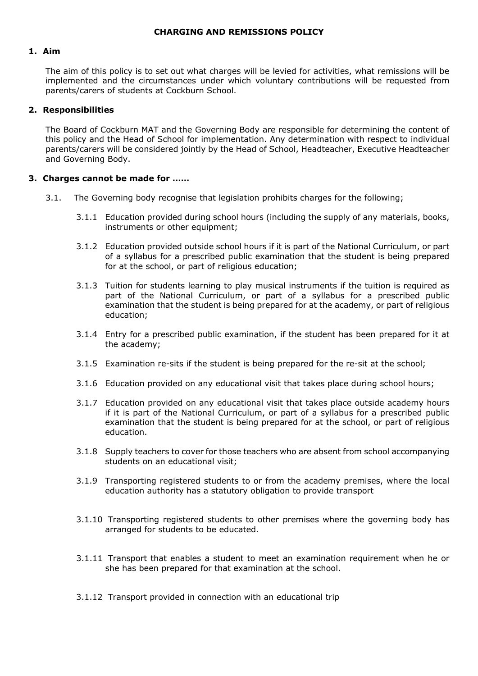#### **1. Aim**

The aim of this policy is to set out what charges will be levied for activities, what remissions will be implemented and the circumstances under which voluntary contributions will be requested from parents/carers of students at Cockburn School.

#### **2. Responsibilities**

The Board of Cockburn MAT and the Governing Body are responsible for determining the content of this policy and the Head of School for implementation. Any determination with respect to individual parents/carers will be considered jointly by the Head of School, Headteacher, Executive Headteacher and Governing Body.

## **3. Charges cannot be made for ……**

- 3.1. The Governing body recognise that legislation prohibits charges for the following;
	- 3.1.1 Education provided during school hours (including the supply of any materials, books, instruments or other equipment;
	- 3.1.2 Education provided outside school hours if it is part of the National Curriculum, or part of a syllabus for a prescribed public examination that the student is being prepared for at the school, or part of religious education;
	- 3.1.3 Tuition for students learning to play musical instruments if the tuition is required as part of the National Curriculum, or part of a syllabus for a prescribed public examination that the student is being prepared for at the academy, or part of religious education;
	- 3.1.4 Entry for a prescribed public examination, if the student has been prepared for it at the academy;
	- 3.1.5 Examination re-sits if the student is being prepared for the re-sit at the school;
	- 3.1.6 Education provided on any educational visit that takes place during school hours;
	- 3.1.7 Education provided on any educational visit that takes place outside academy hours if it is part of the National Curriculum, or part of a syllabus for a prescribed public examination that the student is being prepared for at the school, or part of religious education.
	- 3.1.8 Supply teachers to cover for those teachers who are absent from school accompanying students on an educational visit;
	- 3.1.9 Transporting registered students to or from the academy premises, where the local education authority has a statutory obligation to provide transport
	- 3.1.10 Transporting registered students to other premises where the governing body has arranged for students to be educated.
	- 3.1.11 Transport that enables a student to meet an examination requirement when he or she has been prepared for that examination at the school.
	- 3.1.12 Transport provided in connection with an educational trip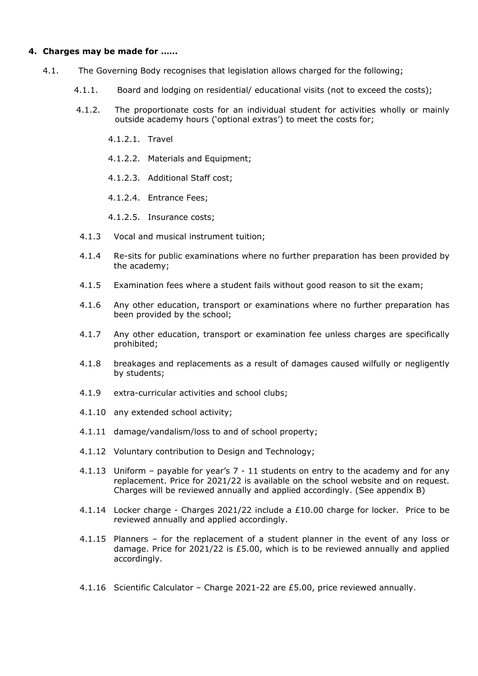## **4. Charges may be made for ……**

- 4.1. The Governing Body recognises that legislation allows charged for the following;
	- 4.1.1. Board and lodging on residential/ educational visits (not to exceed the costs);
	- 4.1.2. The proportionate costs for an individual student for activities wholly or mainly outside academy hours ('optional extras') to meet the costs for;
		- 4.1.2.1. Travel
		- 4.1.2.2. Materials and Equipment;
		- 4.1.2.3. Additional Staff cost;
		- 4.1.2.4. Entrance Fees;
		- 4.1.2.5. Insurance costs;
	- 4.1.3 Vocal and musical instrument tuition;
	- 4.1.4 Re-sits for public examinations where no further preparation has been provided by the academy;
	- 4.1.5 Examination fees where a student fails without good reason to sit the exam;
	- 4.1.6 Any other education, transport or examinations where no further preparation has been provided by the school;
	- 4.1.7 Any other education, transport or examination fee unless charges are specifically prohibited;
	- 4.1.8 breakages and replacements as a result of damages caused wilfully or negligently by students;
	- 4.1.9 extra-curricular activities and school clubs;
	- 4.1.10 any extended school activity;
	- 4.1.11 damage/vandalism/loss to and of school property;
	- 4.1.12 Voluntary contribution to Design and Technology;
	- 4.1.13 Uniform payable for year's 7 11 students on entry to the academy and for any replacement. Price for 2021/22 is available on the school website and on request. Charges will be reviewed annually and applied accordingly. (See appendix B)
	- 4.1.14 Locker charge Charges 2021/22 include a £10.00 charge for locker. Price to be reviewed annually and applied accordingly.
	- 4.1.15 Planners for the replacement of a student planner in the event of any loss or damage. Price for 2021/22 is £5.00, which is to be reviewed annually and applied accordingly.
	- 4.1.16 Scientific Calculator Charge 2021-22 are £5.00, price reviewed annually.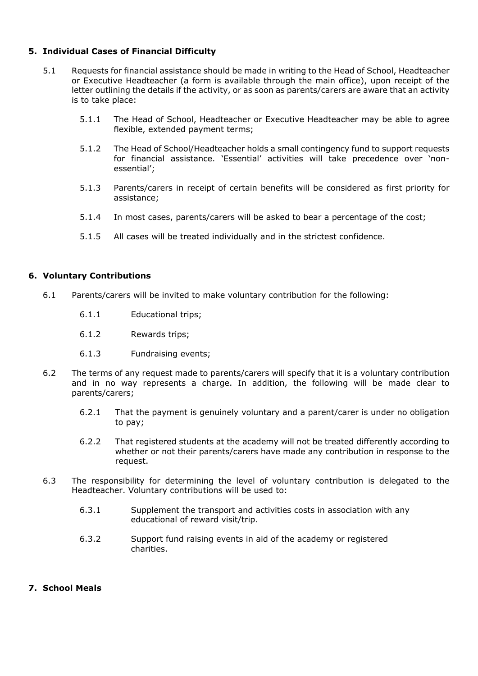## **5. Individual Cases of Financial Difficulty**

- 5.1 Requests for financial assistance should be made in writing to the Head of School, Headteacher or Executive Headteacher (a form is available through the main office), upon receipt of the letter outlining the details if the activity, or as soon as parents/carers are aware that an activity is to take place:
	- 5.1.1 The Head of School, Headteacher or Executive Headteacher may be able to agree flexible, extended payment terms;
	- 5.1.2 The Head of School/Headteacher holds a small contingency fund to support requests for financial assistance. 'Essential' activities will take precedence over 'nonessential';
	- 5.1.3 Parents/carers in receipt of certain benefits will be considered as first priority for assistance;
	- 5.1.4 In most cases, parents/carers will be asked to bear a percentage of the cost;
	- 5.1.5 All cases will be treated individually and in the strictest confidence.

## **6. Voluntary Contributions**

- 6.1 Parents/carers will be invited to make voluntary contribution for the following:
	- 6.1.1 Educational trips;
	- 6.1.2 Rewards trips;
	- 6.1.3 Fundraising events;
- 6.2 The terms of any request made to parents/carers will specify that it is a voluntary contribution and in no way represents a charge. In addition, the following will be made clear to parents/carers;
	- 6.2.1 That the payment is genuinely voluntary and a parent/carer is under no obligation to pay;
	- 6.2.2 That registered students at the academy will not be treated differently according to whether or not their parents/carers have made any contribution in response to the request.
- 6.3 The responsibility for determining the level of voluntary contribution is delegated to the Headteacher. Voluntary contributions will be used to:
	- 6.3.1 Supplement the transport and activities costs in association with any educational of reward visit/trip.
	- 6.3.2 Support fund raising events in aid of the academy or registered charities.

## **7. School Meals**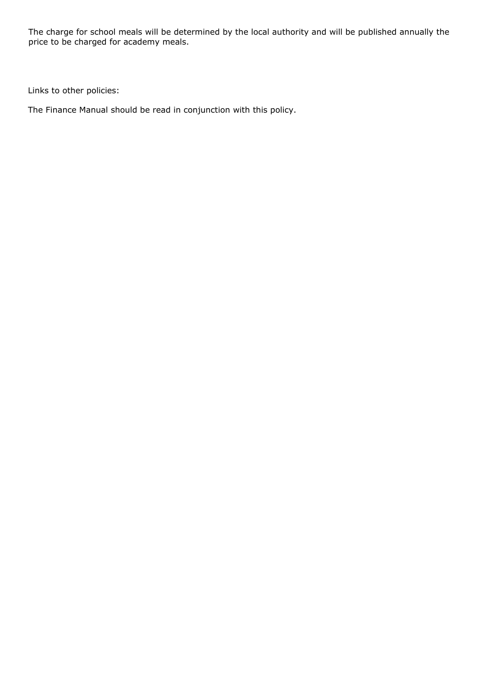The charge for school meals will be determined by the local authority and will be published annually the price to be charged for academy meals.

Links to other policies:

The Finance Manual should be read in conjunction with this policy.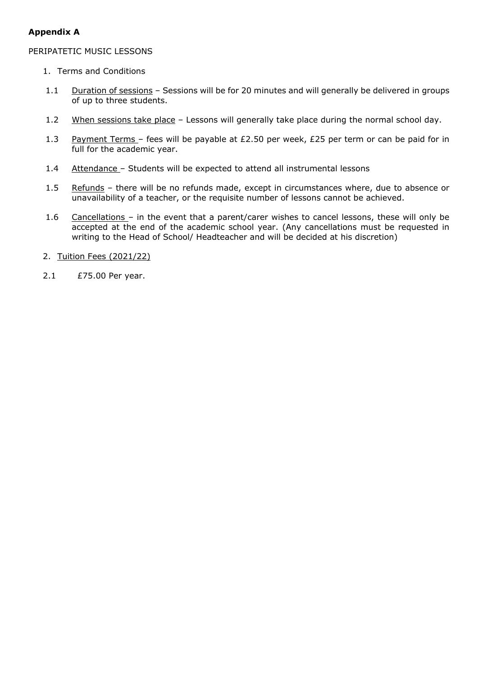## **Appendix A**

## PERIPATETIC MUSIC LESSONS

- 1. Terms and Conditions
- 1.1 Duration of sessions Sessions will be for 20 minutes and will generally be delivered in groups of up to three students.
- 1.2 When sessions take place Lessons will generally take place during the normal school day.
- 1.3 Payment Terms fees will be payable at £2.50 per week, £25 per term or can be paid for in full for the academic year.
- 1.4 Attendance Students will be expected to attend all instrumental lessons
- 1.5 Refunds there will be no refunds made, except in circumstances where, due to absence or unavailability of a teacher, or the requisite number of lessons cannot be achieved.
- 1.6 Cancellations in the event that a parent/carer wishes to cancel lessons, these will only be accepted at the end of the academic school year. (Any cancellations must be requested in writing to the Head of School/ Headteacher and will be decided at his discretion)
- 2. Tuition Fees (2021/22)
- 2.1 £75.00 Per year.